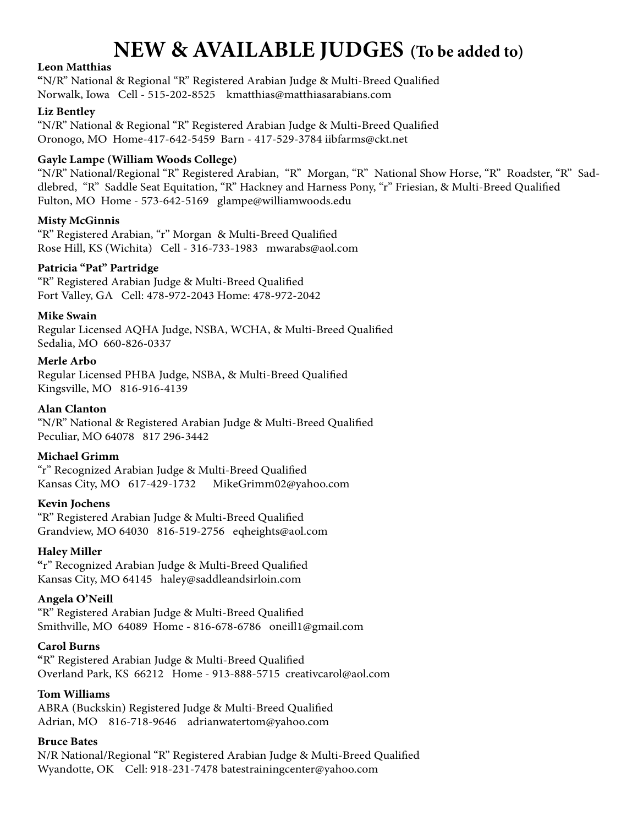# **NEW & AVAILABLE JUDGES (To be added to)**

## **Leon Matthias**

**"**N/R" National & Regional "R" Registered Arabian Judge & Multi-Breed Qualified Norwalk, Iowa Cell - 515-202-8525 kmatthias@matthiasarabians.com

## **Liz Bentley**

"N/R" National & Regional "R" Registered Arabian Judge & Multi-Breed Qualified Oronogo, MO Home-417-642-5459 Barn - 417-529-3784 iibfarms@ckt.net

## **Gayle Lampe (William Woods College)**

"N/R" National/Regional "R" Registered Arabian, "R" Morgan, "R" National Show Horse, "R" Roadster, "R" Saddlebred, "R" Saddle Seat Equitation, "R" Hackney and Harness Pony, "r" Friesian, & Multi-Breed Qualified Fulton, MO Home - 573-642-5169 glampe@williamwoods.edu

## **Misty McGinnis**

"R" Registered Arabian, "r" Morgan & Multi-Breed Qualified Rose Hill, KS (Wichita) Cell - 316-733-1983 mwarabs@aol.com

## **Patricia "Pat" Partridge**

"R" Registered Arabian Judge & Multi-Breed Qualified Fort Valley, GA Cell: 478-972-2043 Home: 478-972-2042

## **Mike Swain**

Regular Licensed AQHA Judge, NSBA, WCHA, & Multi-Breed Qualified Sedalia, MO 660-826-0337

## **Merle Arbo**

Regular Licensed PHBA Judge, NSBA, & Multi-Breed Qualified Kingsville, MO 816-916-4139

## **Alan Clanton**

"N/R" National & Registered Arabian Judge & Multi-Breed Qualified Peculiar, MO 64078 817 296-3442

# **Michael Grimm**

"r" Recognized Arabian Judge & Multi-Breed Qualified Kansas City, MO 617-429-1732 MikeGrimm02@yahoo.com

#### **Kevin Jochens**

"R" Registered Arabian Judge & Multi-Breed Qualified Grandview, MO 64030 816-519-2756 eqheights@aol.com

# **Haley Miller**

**"**r" Recognized Arabian Judge & Multi-Breed Qualified Kansas City, MO 64145 haley@saddleandsirloin.com

#### **Angela O'Neill**

"R" Registered Arabian Judge & Multi-Breed Qualified Smithville, MO 64089 Home - 816-678-6786 oneill1@gmail.com

#### **Carol Burns**

**"**R" Registered Arabian Judge & Multi-Breed Qualified Overland Park, KS 66212 Home - 913-888-5715 creativcarol@aol.com

### **Tom Williams**

ABRA (Buckskin) Registered Judge & Multi-Breed Qualified Adrian, MO 816-718-9646 adrianwatertom@yahoo.com

## **Bruce Bates**

N/R National/Regional "R" Registered Arabian Judge & Multi-Breed Qualified Wyandotte, OK Cell: 918-231-7478 batestrainingcenter@yahoo.com